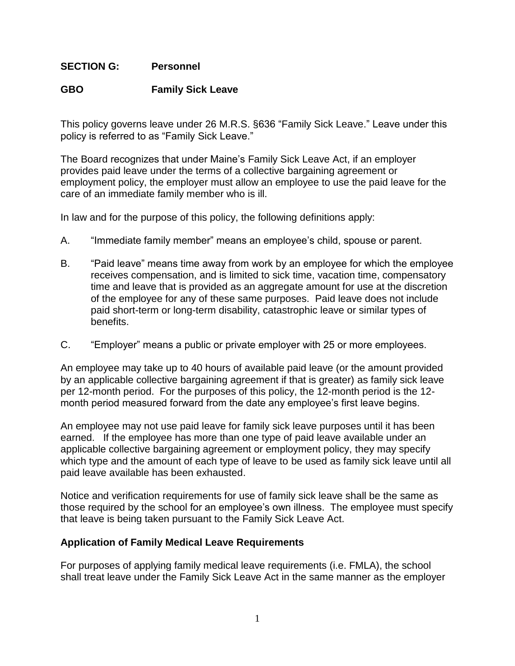## **SECTION G: Personnel**

## **GBO Family Sick Leave**

This policy governs leave under 26 M.R.S. §636 "Family Sick Leave." Leave under this policy is referred to as "Family Sick Leave."

The Board recognizes that under Maine's Family Sick Leave Act, if an employer provides paid leave under the terms of a collective bargaining agreement or employment policy, the employer must allow an employee to use the paid leave for the care of an immediate family member who is ill.

In law and for the purpose of this policy, the following definitions apply:

- A. "Immediate family member" means an employee's child, spouse or parent.
- B. "Paid leave" means time away from work by an employee for which the employee receives compensation, and is limited to sick time, vacation time, compensatory time and leave that is provided as an aggregate amount for use at the discretion of the employee for any of these same purposes. Paid leave does not include paid short-term or long-term disability, catastrophic leave or similar types of benefits.
- C. "Employer" means a public or private employer with 25 or more employees.

An employee may take up to 40 hours of available paid leave (or the amount provided by an applicable collective bargaining agreement if that is greater) as family sick leave per 12-month period. For the purposes of this policy, the 12-month period is the 12 month period measured forward from the date any employee's first leave begins.

An employee may not use paid leave for family sick leave purposes until it has been earned. If the employee has more than one type of paid leave available under an applicable collective bargaining agreement or employment policy, they may specify which type and the amount of each type of leave to be used as family sick leave until all paid leave available has been exhausted.

Notice and verification requirements for use of family sick leave shall be the same as those required by the school for an employee's own illness. The employee must specify that leave is being taken pursuant to the Family Sick Leave Act.

## **Application of Family Medical Leave Requirements**

For purposes of applying family medical leave requirements (i.e. FMLA), the school shall treat leave under the Family Sick Leave Act in the same manner as the employer